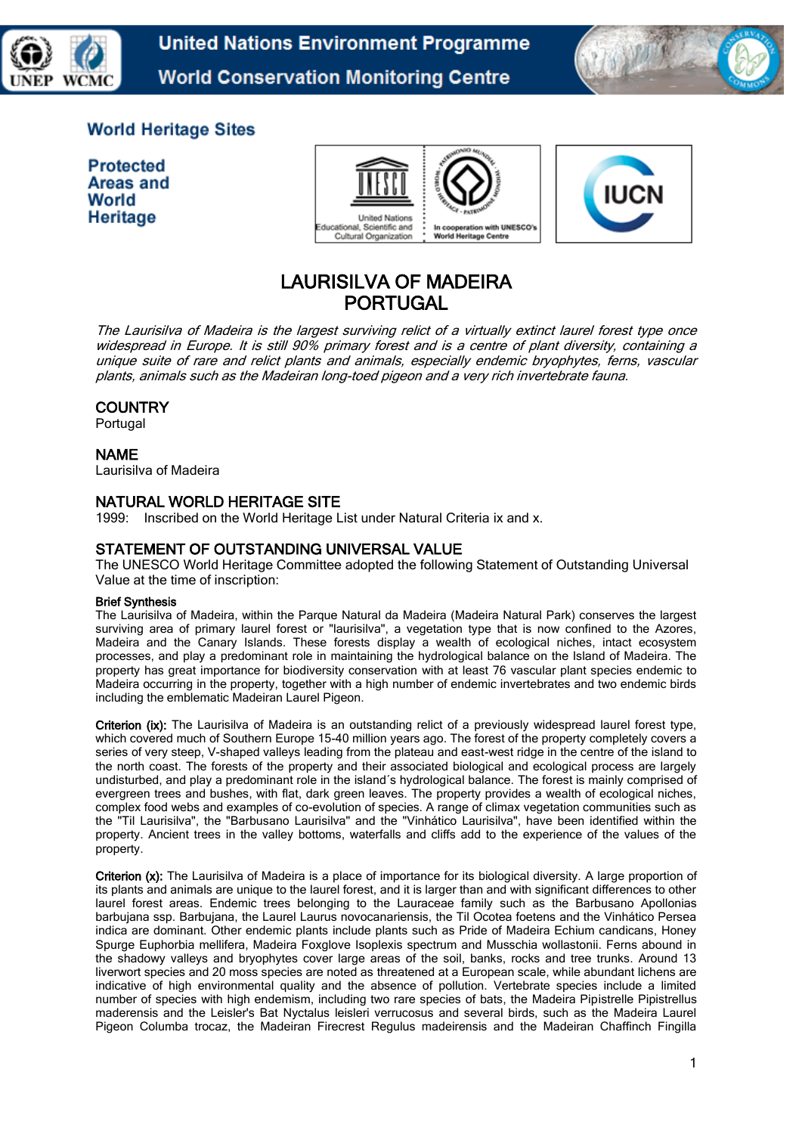

**United Nations Environment Programme World Conservation Monitoring Centre** 



# **World Heritage Sites**

**Protected Areas and** World Heritage





# LAURISILVA OF MADEIRA PORTUGAL

The Laurisilva of Madeira is the largest surviving relict of a virtually extinct laurel forest type once widespread in Europe. It is still 90% primary forest and is a centre of plant diversity, containing a unique suite of rare and relict plants and animals, especially endemic bryophytes, ferns, vascular plants, animals such as the Madeiran long-toed pigeon and a very rich invertebrate fauna.

# **COUNTRY**

Portugal

### NAME

Laurisilva of Madeira

### NATURAL WORLD HERITAGE SITE

1999: Inscribed on the World Heritage List under Natural Criteria ix and x.

### STATEMENT OF OUTSTANDING UNIVERSAL VALUE

The UNESCO World Heritage Committee adopted the following Statement of Outstanding Universal Value at the time of inscription:

#### Brief Synthesis

The Laurisilva of Madeira, within the Parque Natural da Madeira (Madeira Natural Park) conserves the largest surviving area of primary laurel forest or "laurisilva", a vegetation type that is now confined to the Azores, Madeira and the Canary Islands. These forests display a wealth of ecological niches, intact ecosystem processes, and play a predominant role in maintaining the hydrological balance on the Island of Madeira. The property has great importance for biodiversity conservation with at least 76 vascular plant species endemic to Madeira occurring in the property, together with a high number of endemic invertebrates and two endemic birds including the emblematic Madeiran Laurel Pigeon.

Criterion (ix): The Laurisilva of Madeira is an outstanding relict of a previously widespread laurel forest type, which covered much of Southern Europe 15-40 million years ago. The forest of the property completely covers a series of very steep, V-shaped valleys leading from the plateau and east-west ridge in the centre of the island to the north coast. The forests of the property and their associated biological and ecological process are largely undisturbed, and play a predominant role in the island´s hydrological balance. The forest is mainly comprised of evergreen trees and bushes, with flat, dark green leaves. The property provides a wealth of ecological niches, complex food webs and examples of co-evolution of species. A range of climax vegetation communities such as the "Til Laurisilva", the "Barbusano Laurisilva" and the "Vinhático Laurisilva", have been identified within the property. Ancient trees in the valley bottoms, waterfalls and cliffs add to the experience of the values of the property.

Criterion (x): The Laurisilva of Madeira is a place of importance for its biological diversity. A large proportion of its plants and animals are unique to the laurel forest, and it is larger than and with significant differences to other laurel forest areas. Endemic trees belonging to the Lauraceae family such as the Barbusano Apollonias barbujana ssp. Barbujana, the Laurel Laurus novocanariensis, the Til Ocotea foetens and the Vinhático Persea indica are dominant. Other endemic plants include plants such as Pride of Madeira Echium candicans, Honey Spurge Euphorbia mellifera, Madeira Foxglove Isoplexis spectrum and Musschia wollastonii. Ferns abound in the shadowy valleys and bryophytes cover large areas of the soil, banks, rocks and tree trunks. Around 13 liverwort species and 20 moss species are noted as threatened at a European scale, while abundant lichens are indicative of high environmental quality and the absence of pollution. Vertebrate species include a limited number of species with high endemism, including two rare species of bats, the Madeira Pipistrelle Pipistrellus maderensis and the Leisler's Bat Nyctalus leisleri verrucosus and several birds, such as the Madeira Laurel Pigeon Columba trocaz, the Madeiran Firecrest Regulus madeirensis and the Madeiran Chaffinch Fingilla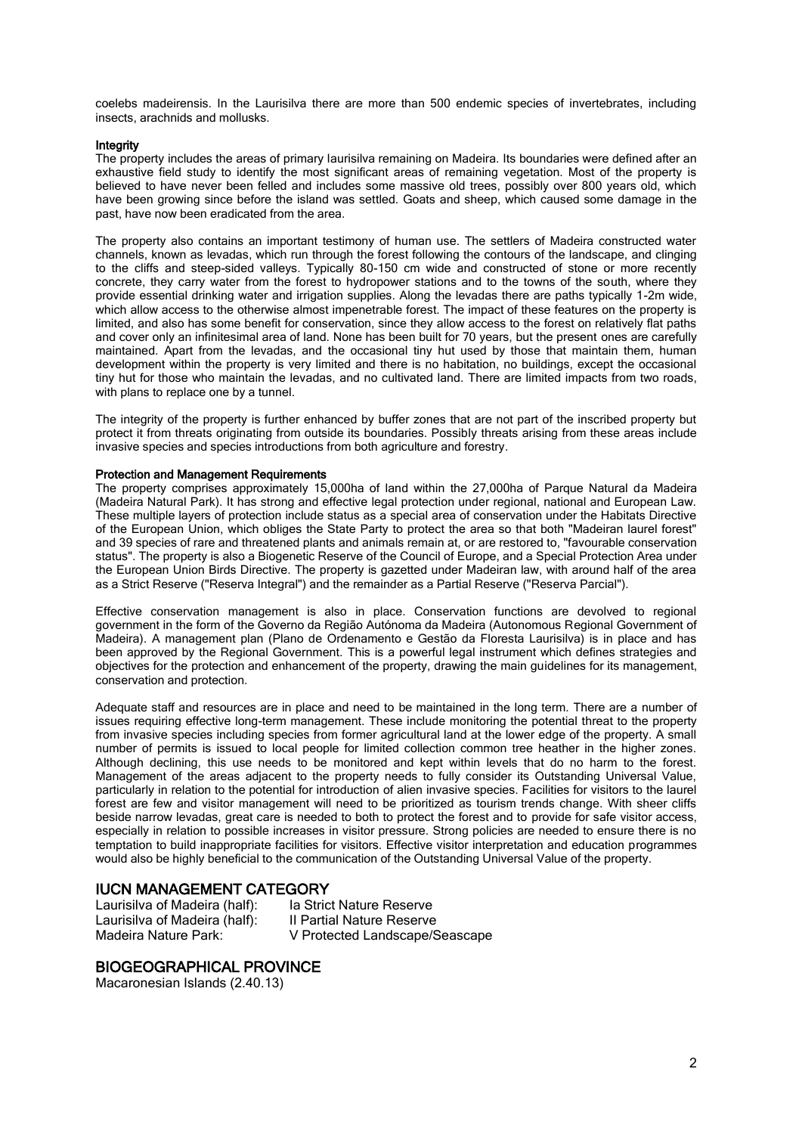coelebs madeirensis. In the Laurisilva there are more than 500 endemic species of invertebrates, including insects, arachnids and mollusks.

#### Integrity

The property includes the areas of primary laurisilva remaining on Madeira. Its boundaries were defined after an exhaustive field study to identify the most significant areas of remaining vegetation. Most of the property is believed to have never been felled and includes some massive old trees, possibly over 800 years old, which have been growing since before the island was settled. Goats and sheep, which caused some damage in the past, have now been eradicated from the area.

The property also contains an important testimony of human use. The settlers of Madeira constructed water channels, known as levadas, which run through the forest following the contours of the landscape, and clinging to the cliffs and steep-sided valleys. Typically 80-150 cm wide and constructed of stone or more recently concrete, they carry water from the forest to hydropower stations and to the towns of the south, where they provide essential drinking water and irrigation supplies. Along the levadas there are paths typically 1-2m wide, which allow access to the otherwise almost impenetrable forest. The impact of these features on the property is limited, and also has some benefit for conservation, since they allow access to the forest on relatively flat paths and cover only an infinitesimal area of land. None has been built for 70 years, but the present ones are carefully maintained. Apart from the levadas, and the occasional tiny hut used by those that maintain them, human development within the property is very limited and there is no habitation, no buildings, except the occasional tiny hut for those who maintain the levadas, and no cultivated land. There are limited impacts from two roads, with plans to replace one by a tunnel.

The integrity of the property is further enhanced by buffer zones that are not part of the inscribed property but protect it from threats originating from outside its boundaries. Possibly threats arising from these areas include invasive species and species introductions from both agriculture and forestry.

#### Protection and Management Requirements

The property comprises approximately 15,000ha of land within the 27,000ha of Parque Natural da Madeira (Madeira Natural Park). It has strong and effective legal protection under regional, national and European Law. These multiple layers of protection include status as a special area of conservation under the Habitats Directive of the European Union, which obliges the State Party to protect the area so that both "Madeiran laurel forest" and 39 species of rare and threatened plants and animals remain at, or are restored to, "favourable conservation status". The property is also a Biogenetic Reserve of the Council of Europe, and a Special Protection Area under the European Union Birds Directive. The property is gazetted under Madeiran law, with around half of the area as a Strict Reserve ("Reserva Integral") and the remainder as a Partial Reserve ("Reserva Parcial").

Effective conservation management is also in place. Conservation functions are devolved to regional government in the form of the Governo da Região Autónoma da Madeira (Autonomous Regional Government of Madeira). A management plan (Plano de Ordenamento e Gestão da Floresta Laurisilva) is in place and has been approved by the Regional Government. This is a powerful legal instrument which defines strategies and objectives for the protection and enhancement of the property, drawing the main guidelines for its management, conservation and protection.

Adequate staff and resources are in place and need to be maintained in the long term. There are a number of issues requiring effective long-term management. These include monitoring the potential threat to the property from invasive species including species from former agricultural land at the lower edge of the property. A small number of permits is issued to local people for limited collection common tree heather in the higher zones. Although declining, this use needs to be monitored and kept within levels that do no harm to the forest. Management of the areas adjacent to the property needs to fully consider its Outstanding Universal Value, particularly in relation to the potential for introduction of alien invasive species. Facilities for visitors to the laurel forest are few and visitor management will need to be prioritized as tourism trends change. With sheer cliffs beside narrow levadas, great care is needed to both to protect the forest and to provide for safe visitor access, especially in relation to possible increases in visitor pressure. Strong policies are needed to ensure there is no temptation to build inappropriate facilities for visitors. Effective visitor interpretation and education programmes would also be highly beneficial to the communication of the Outstanding Universal Value of the property.

#### IUCN MANAGEMENT CATEGORY

Laurisilva of Madeira (half): Ia Strict Nature Reserve<br>Laurisilva of Madeira (half): Il Partial Nature Reserve Laurisilva of Madeira (half):<br>Madeira Nature Park:

V Protected Landscape/Seascape

#### BIOGEOGRAPHICAL PROVINCE

Macaronesian Islands (2.40.13)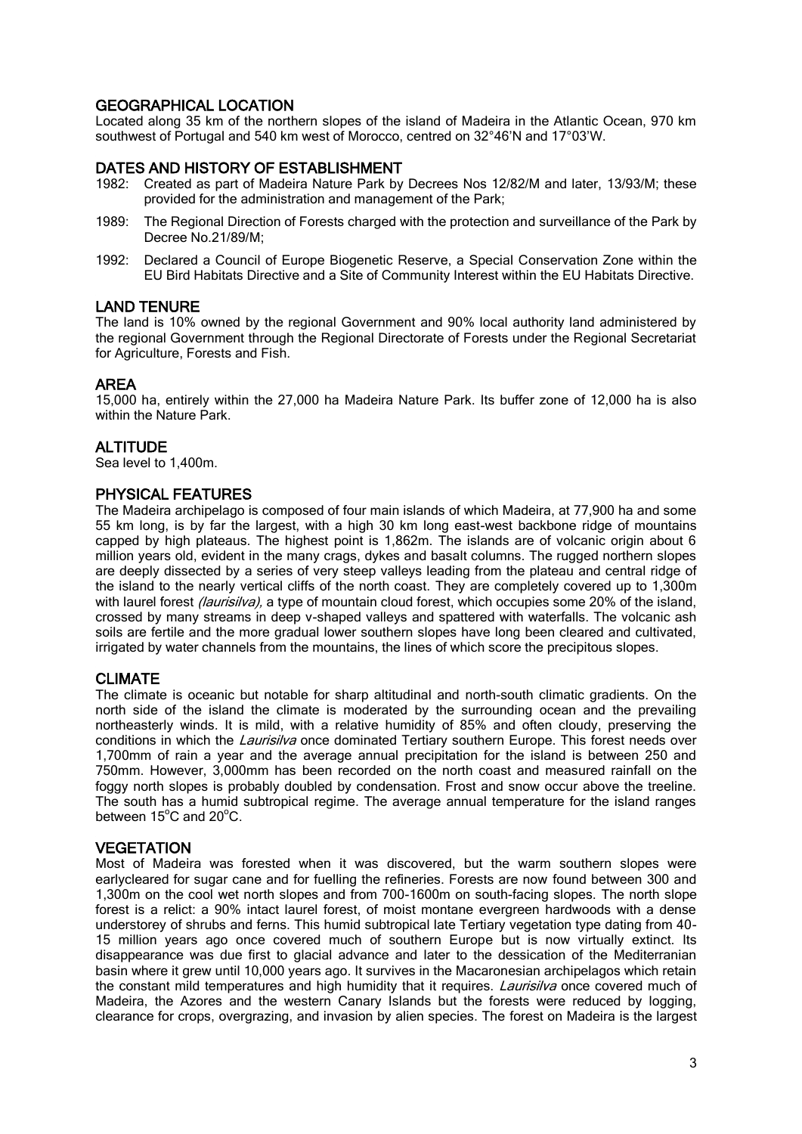# GEOGRAPHICAL LOCATION

Located along 35 km of the northern slopes of the island of Madeira in the Atlantic Ocean, 970 km southwest of Portugal and 540 km west of Morocco, centred on 32°46'N and 17°03'W.

## DATES AND HISTORY OF ESTABLISHMENT

- 1982: Created as part of Madeira Nature Park by Decrees Nos 12/82/M and later, 13/93/M; these provided for the administration and management of the Park;
- 1989: The Regional Direction of Forests charged with the protection and surveillance of the Park by Decree No.21/89/M;
- 1992: Declared a Council of Europe Biogenetic Reserve, a Special Conservation Zone within the EU Bird Habitats Directive and a Site of Community Interest within the EU Habitats Directive.

#### LAND TENURE

The land is 10% owned by the regional Government and 90% local authority land administered by the regional Government through the Regional Directorate of Forests under the Regional Secretariat for Agriculture, Forests and Fish.

### AREA

15,000 ha, entirely within the 27,000 ha Madeira Nature Park. Its buffer zone of 12,000 ha is also within the Nature Park.

#### **ALTITUDE**

Sea level to 1,400m.

#### PHYSICAL FEATURES

The Madeira archipelago is composed of four main islands of which Madeira, at 77,900 ha and some 55 km long, is by far the largest, with a high 30 km long east-west backbone ridge of mountains capped by high plateaus. The highest point is 1,862m. The islands are of volcanic origin about 6 million years old, evident in the many crags, dykes and basalt columns. The rugged northern slopes are deeply dissected by a series of very steep valleys leading from the plateau and central ridge of the island to the nearly vertical cliffs of the north coast. They are completely covered up to 1,300m with laurel forest *(laurisilva)*, a type of mountain cloud forest, which occupies some 20% of the island, crossed by many streams in deep v-shaped valleys and spattered with waterfalls. The volcanic ash soils are fertile and the more gradual lower southern slopes have long been cleared and cultivated, irrigated by water channels from the mountains, the lines of which score the precipitous slopes.

### CLIMATE

The climate is oceanic but notable for sharp altitudinal and north-south climatic gradients. On the north side of the island the climate is moderated by the surrounding ocean and the prevailing northeasterly winds. It is mild, with a relative humidity of 85% and often cloudy, preserving the conditions in which the *Laurisilva* once dominated Tertiary southern Europe. This forest needs over 1,700mm of rain a year and the average annual precipitation for the island is between 250 and 750mm. However, 3,000mm has been recorded on the north coast and measured rainfall on the foggy north slopes is probably doubled by condensation. Frost and snow occur above the treeline. The south has a humid subtropical regime. The average annual temperature for the island ranges between  $15^{\circ}$ C and  $20^{\circ}$ C.

#### **VEGETATION**

Most of Madeira was forested when it was discovered, but the warm southern slopes were earlycleared for sugar cane and for fuelling the refineries. Forests are now found between 300 and 1,300m on the cool wet north slopes and from 700-1600m on south-facing slopes. The north slope forest is a relict: a 90% intact laurel forest, of moist montane evergreen hardwoods with a dense understorey of shrubs and ferns. This humid subtropical late Tertiary vegetation type dating from 40- 15 million years ago once covered much of southern Europe but is now virtually extinct. Its disappearance was due first to glacial advance and later to the dessication of the Mediterranian basin where it grew until 10,000 years ago. It survives in the Macaronesian archipelagos which retain the constant mild temperatures and high humidity that it requires. *Laurisilva* once covered much of Madeira, the Azores and the western Canary Islands but the forests were reduced by logging, clearance for crops, overgrazing, and invasion by alien species. The forest on Madeira is the largest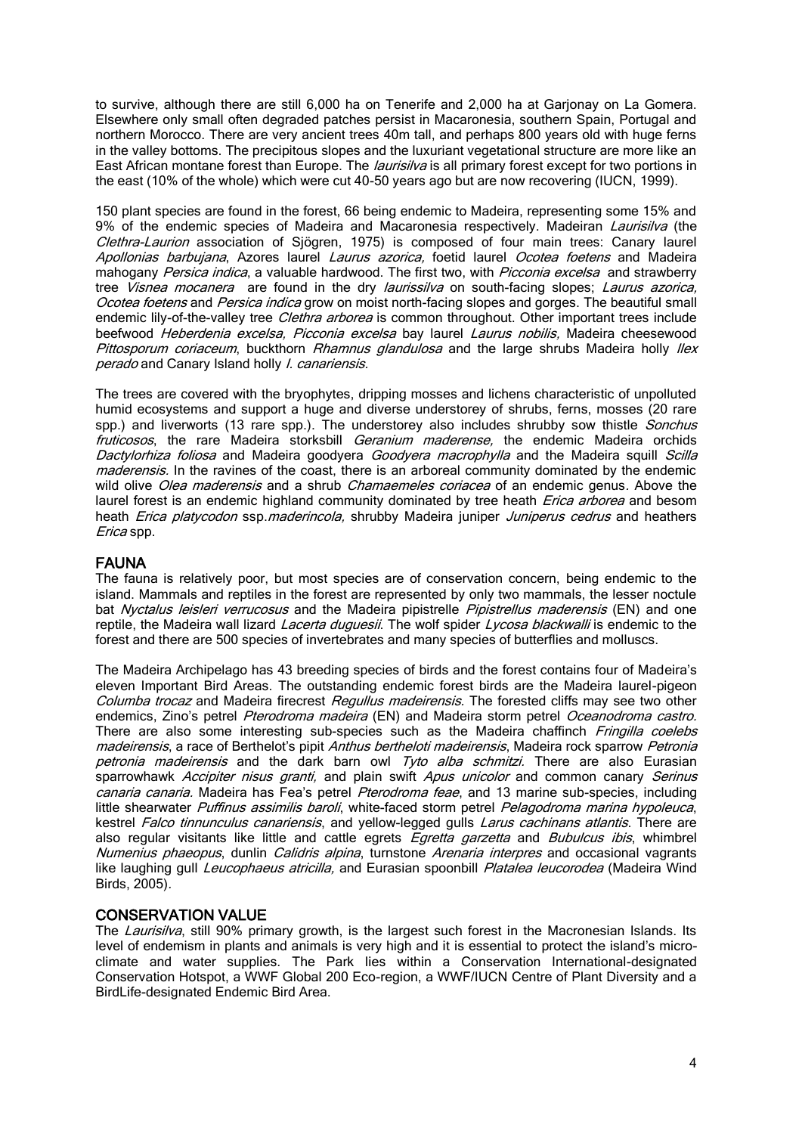to survive, although there are still 6,000 ha on Tenerife and 2,000 ha at Garjonay on La Gomera. Elsewhere only small often degraded patches persist in Macaronesia, southern Spain, Portugal and northern Morocco. There are very ancient trees 40m tall, and perhaps 800 years old with huge ferns in the valley bottoms. The precipitous slopes and the luxuriant vegetational structure are more like an East African montane forest than Europe. The *laurisilva* is all primary forest except for two portions in the east (10% of the whole) which were cut 40-50 years ago but are now recovering (IUCN, 1999).

150 plant species are found in the forest, 66 being endemic to Madeira, representing some 15% and 9% of the endemic species of Madeira and Macaronesia respectively. Madeiran *Laurisilva* (the Clethra-Laurion association of Sjögren, 1975) is composed of four main trees: Canary laurel Apollonias barbujana, Azores laurel Laurus azorica, foetid laurel Ocotea foetens and Madeira mahogany Persica indica, a valuable hardwood. The first two, with Picconia excelsa and strawberry tree *Visnea mocanera* are found in the dry *laurissilva* on south-facing slopes; Laurus azorica, Ocotea foetens and Persica indica grow on moist north-facing slopes and gorges. The beautiful small endemic lily-of-the-valley tree *Clethra arborea* is common throughout. Other important trees include beefwood Heberdenia excelsa, Picconia excelsa bay laurel Laurus nobilis, Madeira cheesewood Pittosporum coriaceum, buckthorn Rhamnus glandulosa and the large shrubs Madeira holly llex perado and Canary Island holly *I. canariensis.* 

The trees are covered with the bryophytes, dripping mosses and lichens characteristic of unpolluted humid ecosystems and support a huge and diverse understorey of shrubs, ferns, mosses (20 rare spp.) and liverworts (13 rare spp.). The understorey also includes shrubby sow thistle *Sonchus* fruticosos, the rare Madeira storksbill Geranium maderense, the endemic Madeira orchids Dactylorhiza foliosa and Madeira goodyera Goodyera macrophylla and the Madeira squill Scilla maderensis. In the ravines of the coast, there is an arboreal community dominated by the endemic wild olive Olea maderensis and a shrub Chamaemeles coriacea of an endemic genus. Above the laurel forest is an endemic highland community dominated by tree heath *Erica arborea* and besom heath *Erica platycodon* ssp.*maderincola*, shrubby Madeira juniper Juniperus cedrus and heathers Erica spp.

### FAUNA

The fauna is relatively poor, but most species are of conservation concern, being endemic to the island. Mammals and reptiles in the forest are represented by only two mammals, the lesser noctule bat Nyctalus leisleri verrucosus and the Madeira pipistrelle Pipistrellus maderensis (EN) and one reptile, the Madeira wall lizard Lacerta duguesii. The wolf spider Lycosa blackwalli is endemic to the forest and there are 500 species of invertebrates and many species of butterflies and molluscs.

The Madeira Archipelago has 43 breeding species of birds and the forest contains four of Madeira's eleven Important Bird Areas. The outstanding endemic forest birds are the Madeira laurel-pigeon Columba trocaz and Madeira firecrest Regullus madeirensis. The forested cliffs may see two other endemics, Zino's petrel Pterodroma madeira (EN) and Madeira storm petrel Oceanodroma castro. There are also some interesting sub-species such as the Madeira chaffinch Fringilla coelebs madeirensis, a race of Berthelot's pipit Anthus bertheloti madeirensis, Madeira rock sparrow Petronia petronia madeirensis and the dark barn owl Tyto alba schmitzi. There are also Eurasian sparrowhawk Accipiter nisus granti, and plain swift Apus unicolor and common canary Serinus canaria canaria. Madeira has Fea's petrel *Pterodroma feae*, and 13 marine sub-species, including little shearwater Puffinus assimilis baroli, white-faced storm petrel Pelagodroma marina hypoleuca, kestrel Falco tinnunculus canariensis, and yellow-legged gulls Larus cachinans atlantis. There are also regular visitants like little and cattle egrets *Egretta garzetta* and *Bubulcus ibis*, whimbrel Numenius phaeopus, dunlin Calidris alpina, turnstone Arenaria interpres and occasional vagrants like laughing gull *Leucophaeus atricilla*, and Eurasian spoonbill *Platalea leucorodea* (Madeira Wind Birds, 2005).

### CONSERVATION VALUE

The Laurisilva, still 90% primary growth, is the largest such forest in the Macronesian Islands. Its level of endemism in plants and animals is very high and it is essential to protect the island's microclimate and water supplies. The Park lies within a Conservation International-designated Conservation Hotspot, a WWF Global 200 Eco-region, a WWF/IUCN Centre of Plant Diversity and a BirdLife-designated Endemic Bird Area.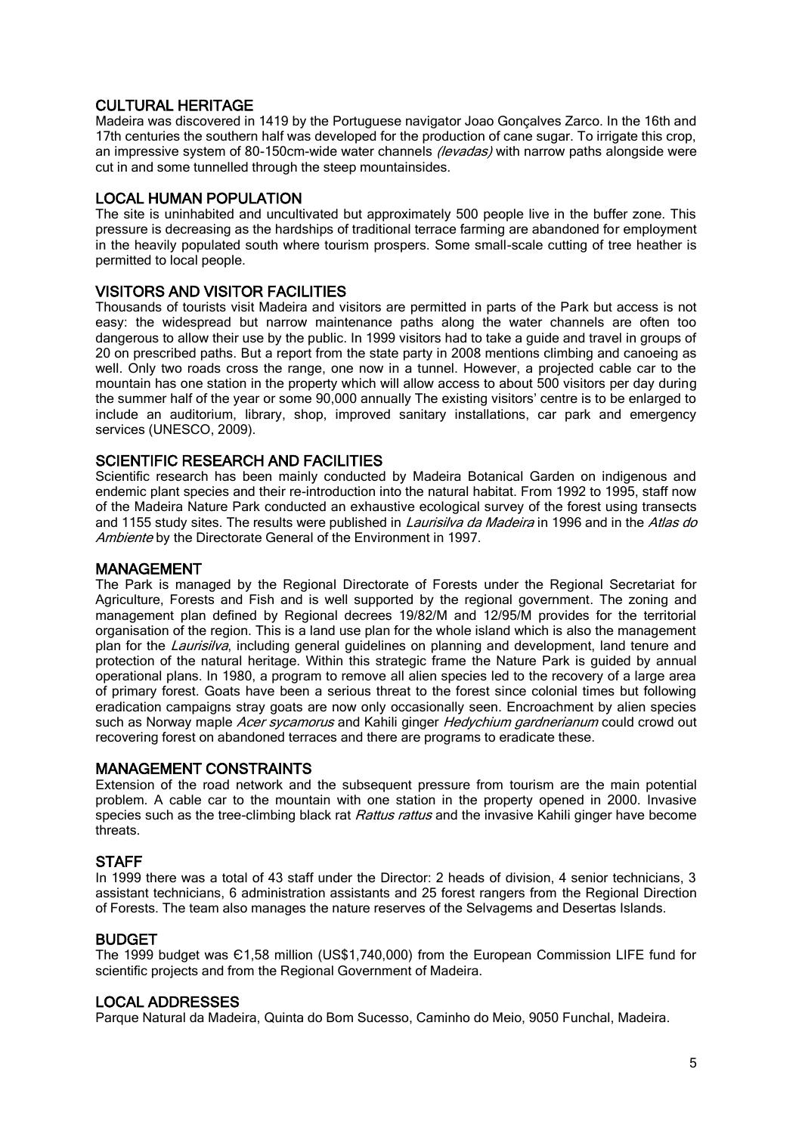# CULTURAL HERITAGE

Madeira was discovered in 1419 by the Portuguese navigator Joao Gonçalves Zarco. In the 16th and 17th centuries the southern half was developed for the production of cane sugar. To irrigate this crop, an impressive system of 80-150cm-wide water channels (levadas) with narrow paths alongside were cut in and some tunnelled through the steep mountainsides.

# LOCAL HUMAN POPULATION

The site is uninhabited and uncultivated but approximately 500 people live in the buffer zone. This pressure is decreasing as the hardships of traditional terrace farming are abandoned for employment in the heavily populated south where tourism prospers. Some small-scale cutting of tree heather is permitted to local people.

# VISITORS AND VISITOR FACILITIES

Thousands of tourists visit Madeira and visitors are permitted in parts of the Park but access is not easy: the widespread but narrow maintenance paths along the water channels are often too dangerous to allow their use by the public. In 1999 visitors had to take a guide and travel in groups of 20 on prescribed paths. But a report from the state party in 2008 mentions climbing and canoeing as well. Only two roads cross the range, one now in a tunnel. However, a projected cable car to the mountain has one station in the property which will allow access to about 500 visitors per day during the summer half of the year or some 90,000 annually The existing visitors' centre is to be enlarged to include an auditorium, library, shop, improved sanitary installations, car park and emergency services (UNESCO, 2009).

# SCIENTIFIC RESEARCH AND FACILITIES

Scientific research has been mainly conducted by Madeira Botanical Garden on indigenous and endemic plant species and their re-introduction into the natural habitat. From 1992 to 1995, staff now of the Madeira Nature Park conducted an exhaustive ecological survey of the forest using transects and 1155 study sites. The results were published in *Laurisilva da Madeira* in 1996 and in the Atlas do Ambiente by the Directorate General of the Environment in 1997.

### MANAGEMENT

The Park is managed by the Regional Directorate of Forests under the Regional Secretariat for Agriculture, Forests and Fish and is well supported by the regional government. The zoning and management plan defined by Regional decrees 19/82/M and 12/95/M provides for the territorial organisation of the region. This is a land use plan for the whole island which is also the management plan for the *Laurisilva*, including general guidelines on planning and development, land tenure and protection of the natural heritage. Within this strategic frame the Nature Park is guided by annual operational plans. In 1980, a program to remove all alien species led to the recovery of a large area of primary forest. Goats have been a serious threat to the forest since colonial times but following eradication campaigns stray goats are now only occasionally seen. Encroachment by alien species such as Norway maple Acer sycamorus and Kahili ginger Hedychium gardnerianum could crowd out recovering forest on abandoned terraces and there are programs to eradicate these.

# MANAGEMENT CONSTRAINTS

Extension of the road network and the subsequent pressure from tourism are the main potential problem. A cable car to the mountain with one station in the property opened in 2000. Invasive species such as the tree-climbing black rat Rattus rattus and the invasive Kahili ginger have become threats.

# **STAFF**

In 1999 there was a total of 43 staff under the Director: 2 heads of division, 4 senior technicians, 3 assistant technicians, 6 administration assistants and 25 forest rangers from the Regional Direction of Forests. The team also manages the nature reserves of the Selvagems and Desertas Islands.

# BUDGET

The 1999 budget was Є1,58 million (US\$1,740,000) from the European Commission LIFE fund for scientific projects and from the Regional Government of Madeira.

# LOCAL ADDRESSES

Parque Natural da Madeira, Quinta do Bom Sucesso, Caminho do Meio, 9050 Funchal, Madeira.